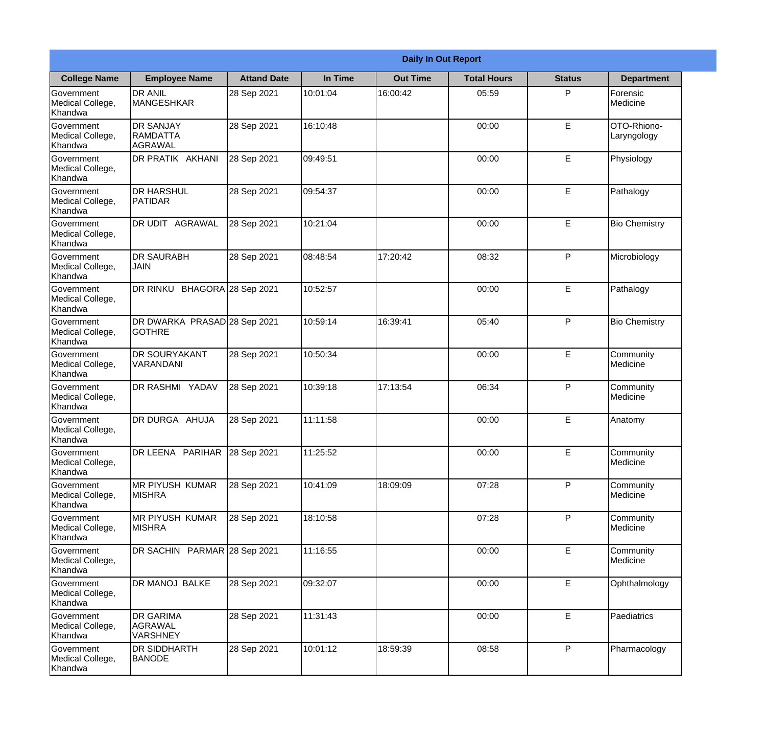|                                                  | <b>Daily In Out Report</b>                      |                    |          |                 |                    |               |                            |  |  |
|--------------------------------------------------|-------------------------------------------------|--------------------|----------|-----------------|--------------------|---------------|----------------------------|--|--|
| <b>College Name</b>                              | <b>Employee Name</b>                            | <b>Attand Date</b> | In Time  | <b>Out Time</b> | <b>Total Hours</b> | <b>Status</b> | <b>Department</b>          |  |  |
| Government<br>Medical College,<br>Khandwa        | <b>DR ANIL</b><br><b>MANGESHKAR</b>             | 28 Sep 2021        | 10:01:04 | 16:00:42        | 05:59              | P             | Forensic<br>Medicine       |  |  |
| Government<br>Medical College,<br>Khandwa        | <b>DR SANJAY</b><br><b>RAMDATTA</b><br>AGRAWAL  | 28 Sep 2021        | 16:10:48 |                 | 00:00              | E             | OTO-Rhiono-<br>Laryngology |  |  |
| <b>Government</b><br>Medical College,<br>Khandwa | DR PRATIK AKHANI                                | 28 Sep 2021        | 09:49:51 |                 | 00:00              | E             | Physiology                 |  |  |
| Government<br>Medical College,<br>Khandwa        | <b>DR HARSHUL</b><br>PATIDAR                    | 28 Sep 2021        | 09:54:37 |                 | 00:00              | E             | Pathalogy                  |  |  |
| <b>Government</b><br>Medical College,<br>Khandwa | DR UDIT AGRAWAL                                 | 28 Sep 2021        | 10:21:04 |                 | 00:00              | E             | <b>Bio Chemistry</b>       |  |  |
| Government<br>Medical College,<br>Khandwa        | <b>DR SAURABH</b><br><b>JAIN</b>                | 28 Sep 2021        | 08:48:54 | 17:20:42        | 08:32              | P             | Microbiology               |  |  |
| Government<br>Medical College,<br>Khandwa        | DR RINKU BHAGORA 28 Sep 2021                    |                    | 10:52:57 |                 | 00:00              | E             | Pathalogy                  |  |  |
| Government<br>Medical College,<br>Khandwa        | DR DWARKA PRASAD 28 Sep 2021<br><b>I</b> GOTHRE |                    | 10:59:14 | 16:39:41        | 05:40              | P             | <b>Bio Chemistry</b>       |  |  |
| Government<br>Medical College,<br>Khandwa        | <b>DR SOURYAKANT</b><br>VARANDANI               | 28 Sep 2021        | 10:50:34 |                 | 00:00              | E             | Community<br>Medicine      |  |  |
| Government<br>Medical College,<br>Khandwa        | DR RASHMI YADAV                                 | 28 Sep 2021        | 10:39:18 | 17:13:54        | 06:34              | P             | Community<br>Medicine      |  |  |
| Government<br>Medical College,<br>Khandwa        | DR DURGA AHUJA                                  | 28 Sep 2021        | 11:11:58 |                 | 00:00              | E             | Anatomy                    |  |  |
| Government<br>Medical College,<br>Khandwa        | DR LEENA PARIHAR                                | 28 Sep 2021        | 11:25:52 |                 | 00:00              | E             | Community<br>Medicine      |  |  |
| Government<br>Medical College,<br>Khandwa        | MR PIYUSH KUMAR<br><b>MISHRA</b>                | 28 Sep 2021        | 10:41:09 | 18:09:09        | 07:28              | P             | Community<br>Medicine      |  |  |
| Government<br>Medical College,<br>Khandwa        | <b>MR PIYUSH KUMAR</b><br><b>MISHRA</b>         | 28 Sep 2021        | 18:10:58 |                 | 07:28              | P             | Community<br>Medicine      |  |  |
| Government<br>Medical College,<br>Khandwa        | DR SACHIN PARMAR 28 Sep 2021                    |                    | 11:16:55 |                 | 00:00              | E             | Community<br>Medicine      |  |  |
| Government<br>Medical College,<br>Khandwa        | DR MANOJ BALKE                                  | 28 Sep 2021        | 09:32:07 |                 | 00:00              | E             | Ophthalmology              |  |  |
| Government<br>Medical College,<br>Khandwa        | <b>DR GARIMA</b><br>AGRAWAL<br><b>VARSHNEY</b>  | 28 Sep 2021        | 11:31:43 |                 | 00:00              | E             | Paediatrics                |  |  |
| Government<br>Medical College,<br>Khandwa        | DR SIDDHARTH<br><b>BANODE</b>                   | 28 Sep 2021        | 10:01:12 | 18:59:39        | 08:58              | P             | Pharmacology               |  |  |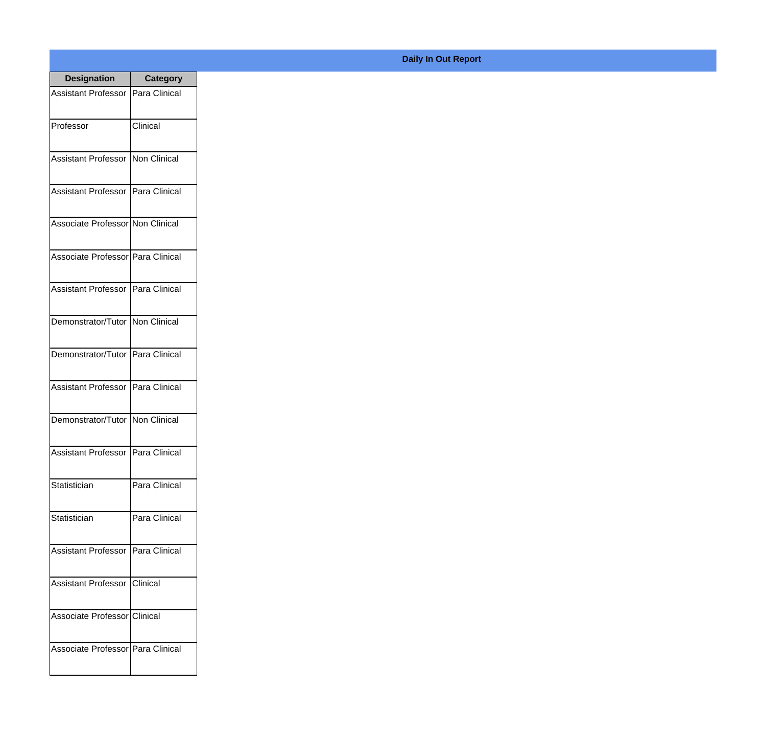| <b>Designation</b>                  | <b>Category</b> |
|-------------------------------------|-----------------|
| Assistant Professor   Para Clinical |                 |
| Professor                           | Clinical        |
| Assistant Professor   Non Clinical  |                 |
| Assistant Professor   Para Clinical |                 |
| Associate Professor Non Clinical    |                 |
| Associate Professor Para Clinical   |                 |
| Assistant Professor   Para Clinical |                 |
| Demonstrator/Tutor   Non Clinical   |                 |
| Demonstrator/Tutor   Para Clinical  |                 |
| Assistant Professor   Para Clinical |                 |
| Demonstrator/Tutor   Non Clinical   |                 |
| Assistant Professor   Para Clinical |                 |
| Statistician                        | Para Clinical   |
| Statistician                        | Para Clinical   |
| Assistant Professor   Para Clinical |                 |
| <b>Assistant Professor</b>          | Clinical        |
| Associate Professor Clinical        |                 |
| Associate Professor Para Clinical   |                 |

## **Daily In Out Report**